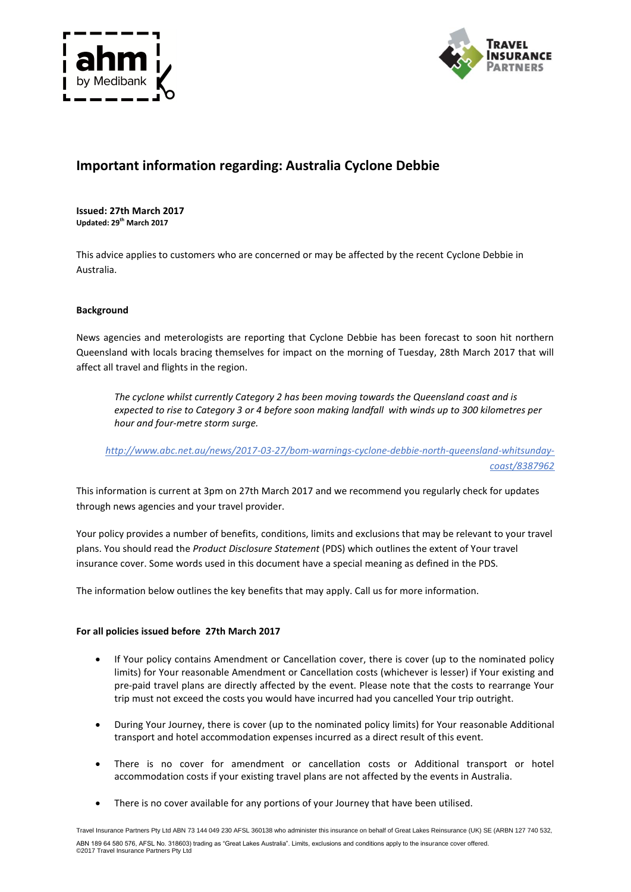



# **Important information regarding: Australia Cyclone Debbie**

**Issued: 27th March 2017 Updated: 29th March 2017**

This advice applies to customers who are concerned or may be affected by the recent Cyclone Debbie in Australia.

## **Background**

News agencies and meterologists are reporting that Cyclone Debbie has been forecast to soon hit northern Queensland with locals bracing themselves for impact on the morning of Tuesday, 28th March 2017 that will affect all travel and flights in the region.

*The cyclone whilst currently Category 2 has been moving towards the Queensland coast and is expected to rise to Category 3 or 4 before soon making landfall with winds up to 300 kilometres per hour and four-metre storm surge.*

*http://www.abc.net.au/news/2017-03-27/bom-warnings-cyclone-debbie-north-queensland-whitsundaycoast/8387962*

This information is current at 3pm on 27th March 2017 and we recommend you regularly check for updates through news agencies and your travel provider.

Your policy provides a number of benefits, conditions, limits and exclusions that may be relevant to your travel plans. You should read the *Product Disclosure Statement* (PDS) which outlines the extent of Your travel insurance cover. Some words used in this document have a special meaning as defined in the PDS.

The information below outlines the key benefits that may apply. Call us for more information.

## **For all policies issued before 27th March 2017**

- If Your policy contains Amendment or Cancellation cover, there is cover (up to the nominated policy limits) for Your reasonable Amendment or Cancellation costs (whichever is lesser) if Your existing and pre-paid travel plans are directly affected by the event. Please note that the costs to rearrange Your trip must not exceed the costs you would have incurred had you cancelled Your trip outright.
- During Your Journey, there is cover (up to the nominated policy limits) for Your reasonable Additional transport and hotel accommodation expenses incurred as a direct result of this event.
- There is no cover for amendment or cancellation costs or Additional transport or hotel accommodation costs if your existing travel plans are not affected by the events in Australia.
- There is no cover available for any portions of your Journey that have been utilised.